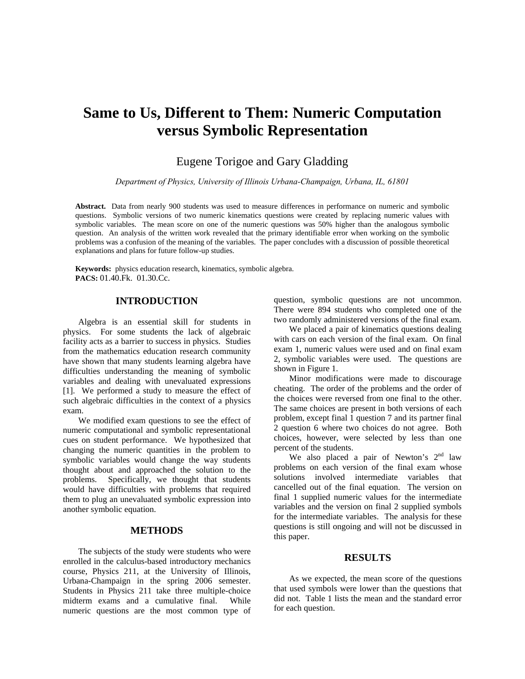# **Same to Us, Different to Them: Numeric Computation versus Symbolic Representation**

# Eugene Torigoe and Gary Gladding

*Department of Physics, University of Illinois Urbana-Champaign, Urbana, IL, 61801* 

**Abstract.** Data from nearly 900 students was used to measure differences in performance on numeric and symbolic questions. Symbolic versions of two numeric kinematics questions were created by replacing numeric values with symbolic variables. The mean score on one of the numeric questions was 50% higher than the analogous symbolic question. An analysis of the written work revealed that the primary identifiable error when working on the symbolic problems was a confusion of the meaning of the variables. The paper concludes with a discussion of possible theoretical explanations and plans for future follow-up studies.

**Keywords:** physics education research, kinematics, symbolic algebra. **PACS:** 01.40.Fk. 01.30.Cc.

### **INTRODUCTION**

Algebra is an essential skill for students in physics. For some students the lack of algebraic facility acts as a barrier to success in physics. Studies from the mathematics education research community have shown that many students learning algebra have difficulties understanding the meaning of symbolic variables and dealing with unevaluated expressions [1]. We performed a study to measure the effect of such algebraic difficulties in the context of a physics exam.

We modified exam questions to see the effect of numeric computational and symbolic representational cues on student performance. We hypothesized that changing the numeric quantities in the problem to symbolic variables would change the way students thought about and approached the solution to the problems. Specifically, we thought that students would have difficulties with problems that required them to plug an unevaluated symbolic expression into another symbolic equation.

# **METHODS**

The subjects of the study were students who were enrolled in the calculus-based introductory mechanics course, Physics 211, at the University of Illinois, Urbana-Champaign in the spring 2006 semester. Students in Physics 211 take three multiple-choice midterm exams and a cumulative final. While numeric questions are the most common type of question, symbolic questions are not uncommon. There were 894 students who completed one of the two randomly administered versions of the final exam.

We placed a pair of kinematics questions dealing with cars on each version of the final exam. On final exam 1, numeric values were used and on final exam 2, symbolic variables were used. The questions are shown in Figure 1.

Minor modifications were made to discourage cheating. The order of the problems and the order of the choices were reversed from one final to the other. The same choices are present in both versions of each problem, except final 1 question 7 and its partner final 2 question 6 where two choices do not agree. Both choices, however, were selected by less than one percent of the students.

We also placed a pair of Newton's  $2<sup>nd</sup>$  law problems on each version of the final exam whose solutions involved intermediate variables that cancelled out of the final equation. The version on final 1 supplied numeric values for the intermediate variables and the version on final 2 supplied symbols for the intermediate variables. The analysis for these questions is still ongoing and will not be discussed in this paper.

#### **RESULTS**

As we expected, the mean score of the questions that used symbols were lower than the questions that did not. Table 1 lists the mean and the standard error for each question.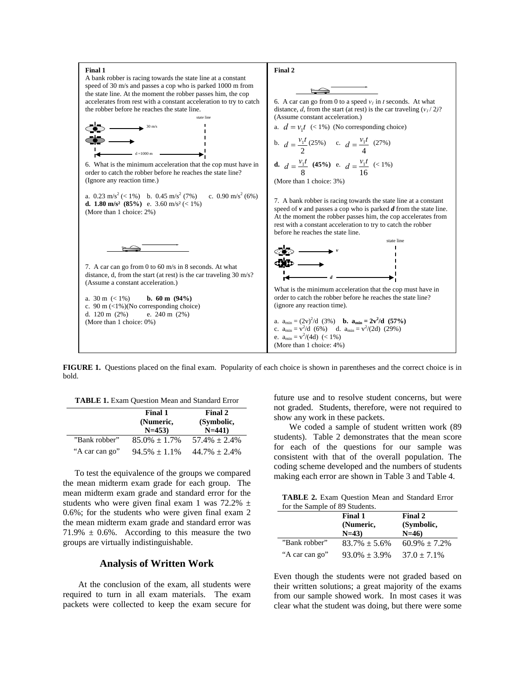

**FIGURE 1.** Questions placed on the final exam. Popularity of each choice is shown in parentheses and the correct choice is in bold.

**TABLE 1.** Exam Question Mean and Standard Error

|                | <b>Final 1</b><br>(Numeric,<br>$N=453$ | Final 2<br>(Symbolic,<br>$N=441$ |
|----------------|----------------------------------------|----------------------------------|
| "Bank robber"  | $85.0\% \pm 1.7\%$                     | $57.4\% \pm 2.4\%$               |
| "A car can go" | $94.5\% \pm 1.1\%$                     | $44.7\% \pm 2.4\%$               |

To test the equivalence of the groups we compared the mean midterm exam grade for each group. The mean midterm exam grade and standard error for the students who were given final exam 1 was  $72.2\%$   $\pm$ 0.6%; for the students who were given final exam 2 the mean midterm exam grade and standard error was  $71.9\% \pm 0.6\%$ . According to this measure the two groups are virtually indistinguishable.

#### **Analysis of Written Work**

At the conclusion of the exam, all students were required to turn in all exam materials. The exam packets were collected to keep the exam secure for future use and to resolve student concerns, but were not graded. Students, therefore, were not required to show any work in these packets.

We coded a sample of student written work (89 students). Table 2 demonstrates that the mean score for each of the questions for our sample was consistent with that of the overall population. The coding scheme developed and the numbers of students making each error are shown in Table 3 and Table 4.

**TABLE 2.** Exam Question Mean and Standard Error for the Sample of 89 Students.

|                | Final 1<br>(Numeric,<br>$N=43$ | Final 2<br>(Symbolic,<br>$N=46$ |
|----------------|--------------------------------|---------------------------------|
| "Bank robber"  | $83.7\% \pm 5.6\%$             | $60.9\% \pm 7.2\%$              |
| "A car can go" | $93.0\% \pm 3.9\%$             | $37.0 \pm 7.1\%$                |

Even though the students were not graded based on their written solutions; a great majority of the exams from our sample showed work. In most cases it was clear what the student was doing, but there were some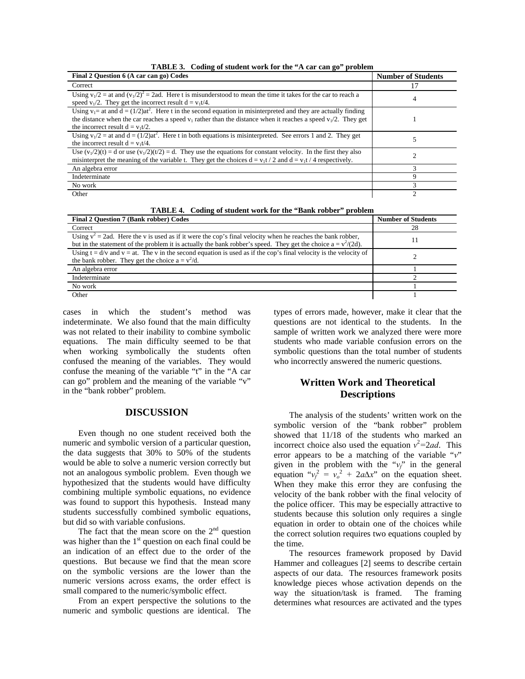| Final 2 Question 6 (A car can go) Codes                                                                                                                                                                                                                                             | <b>Number of Students</b> |
|-------------------------------------------------------------------------------------------------------------------------------------------------------------------------------------------------------------------------------------------------------------------------------------|---------------------------|
| Correct                                                                                                                                                                                                                                                                             | 17                        |
| Using $v_1/2$ = at and $(v_1/2)^2$ = 2ad. Here t is misunderstood to mean the time it takes for the car to reach a<br>speed $v_1/2$ . They get the incorrect result $d = v_1 t/4$ .                                                                                                 | 4                         |
| Using $v_1$ = at and $d = (1/2)at^2$ . Here t in the second equation in misinterpreted and they are actually finding<br>the distance when the car reaches a speed $v_1$ rather than the distance when it reaches a speed $v_1/2$ . They get<br>the incorrect result $d = v_1 t/2$ . |                           |
| Using $v_1/2$ = at and $d = (1/2)at^2$ . Here t in both equations is misinterpreted. See errors 1 and 2. They get<br>the incorrect result $d = v_1 t/4$ .                                                                                                                           |                           |
| Use $(v_1/2)(t) = d$ or use $(v_1/2)(t/2) = d$ . They use the equations for constant velocity. In the first they also<br>misinterpret the meaning of the variable t. They get the choices $d = v_1t/2$ and $d = v_1t/4$ respectively.                                               |                           |
| An algebra error                                                                                                                                                                                                                                                                    | 3                         |
| Indeterminate                                                                                                                                                                                                                                                                       | 9                         |
| No work                                                                                                                                                                                                                                                                             | 3                         |
| Other                                                                                                                                                                                                                                                                               | C                         |

**TABLE 3. Coding of student work for the "A car can go" problem** 

**TABLE 4. Coding of student work for the "Bank robber" problem** 

| There is count of station work for the Dann rosser prosiem                                                                                                                                                                         |                           |  |  |
|------------------------------------------------------------------------------------------------------------------------------------------------------------------------------------------------------------------------------------|---------------------------|--|--|
| <b>Final 2 Ouestion 7 (Bank robber) Codes</b>                                                                                                                                                                                      | <b>Number of Students</b> |  |  |
| Correct                                                                                                                                                                                                                            | 28                        |  |  |
| Using $v^2 = 2ad$ . Here the v is used as if it were the cop's final velocity when he reaches the bank robber,<br>but in the statement of the problem it is actually the bank robber's speed. They get the choice $a = v^2/(2d)$ . |                           |  |  |
| Using $t = d/v$ and $v = at$ . The v in the second equation is used as if the cop's final velocity is the velocity of<br>the bank robber. They get the choice $a = v^2/d$ .                                                        |                           |  |  |
| An algebra error                                                                                                                                                                                                                   |                           |  |  |
| Indeterminate                                                                                                                                                                                                                      |                           |  |  |
| No work                                                                                                                                                                                                                            |                           |  |  |
| Other                                                                                                                                                                                                                              |                           |  |  |

cases in which the student's method was indeterminate. We also found that the main difficulty was not related to their inability to combine symbolic equations. The main difficulty seemed to be that when working symbolically the students often confused the meaning of the variables. They would confuse the meaning of the variable "t" in the "A car can go" problem and the meaning of the variable "v" in the "bank robber" problem.

# **DISCUSSION**

Even though no one student received both the numeric and symbolic version of a particular question, the data suggests that 30% to 50% of the students would be able to solve a numeric version correctly but not an analogous symbolic problem. Even though we hypothesized that the students would have difficulty combining multiple symbolic equations, no evidence was found to support this hypothesis. Instead many students successfully combined symbolic equations, but did so with variable confusions.

The fact that the mean score on the  $2<sup>nd</sup>$  question was higher than the  $1<sup>st</sup>$  question on each final could be an indication of an effect due to the order of the questions. But because we find that the mean score on the symbolic versions are the lower than the numeric versions across exams, the order effect is small compared to the numeric/symbolic effect.

From an expert perspective the solutions to the numeric and symbolic questions are identical. The

 symbolic questions than the total number of students types of errors made, however, make it clear that the questions are not identical to the students. In the sample of written work we analyzed there were more students who made variable confusion errors on the who incorrectly answered the numeric questions.

# **Written Work and Theoretical Descriptions**

The analysis of the students' written work on the symbolic version of the "bank robber" problem showed that 11/18 of the students who marked an incorrect choice also used the equation  $v^2 = 2ad$ . This error appears to be a matching of the variable "*v*" given in the problem with the "*vf*" in the general equation " $v_f^2 = v_o^2 + 2a\Delta x$ " on the equation sheet. When they make this error they are confusing the velocity of the bank robber with the final velocity of the police officer. This may be especially attractive to students because this solution only requires a single equation in order to obtain one of the choices while the correct solution requires two equations coupled by the time.

The resources framework proposed by David Hammer and colleagues [2] seems to describe certain aspects of our data. The resources framework posits knowledge pieces whose activation depends on the way the situation/task is framed. The framing determines what resources are activated and the types